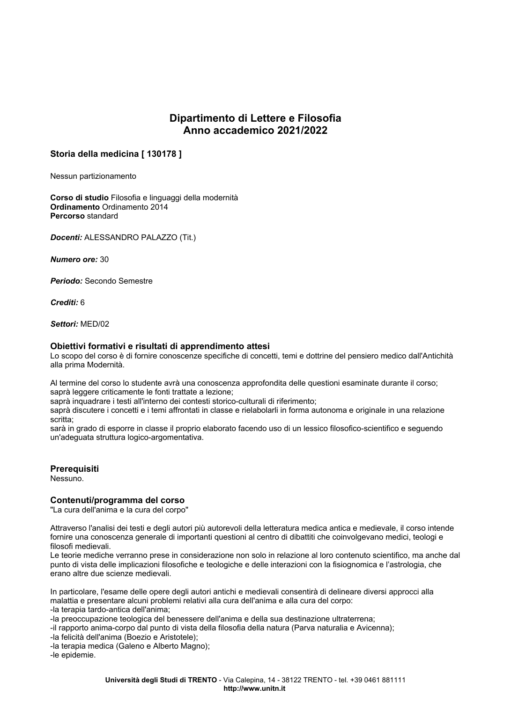# Dipartimento di Lettere e Filosofia Anno accademico 2021/2022

## Storia della medicina [130178]

Nessun partizionamento

Corso di studio Filosofia e linguaggi della modernità Ordinamento Ordinamento 2014 Percorso standard

Docenti: ALESSANDRO PALAZZO (Tit.)

Numero ore: 30

Periodo: Secondo Semestre

Crediti: 6

Settori: MFD/02

### Obiettivi formativi e risultati di apprendimento attesi

Lo scopo del corso è di fornire conoscenze specifiche di concetti, temi e dottrine del pensiero medico dall'Antichità alla prima Modernità.

Al termine del corso lo studente avrà una conoscenza approfondita delle questioni esaminate durante il corso; saprà leggere criticamente le fonti trattate a lezione;

saprà inquadrare i testi all'interno dei contesti storico-culturali di riferimento;

saprà discutere i concetti e i temi affrontati in classe e rielabolarli in forma autonoma e originale in una relazione scritta:

sarà in grado di esporre in classe il proprio elaborato facendo uso di un lessico filosofico-scientifico e seguendo un'adequata struttura logico-argomentativa.

#### Prerequisiti

Nessuno.

#### Contenuti/programma del corso

"La cura dell'anima e la cura del corpo"

Attraverso l'analisi dei testi e degli autori più autorevoli della letteratura medica antica e medievale, il corso intende fornire una conoscenza generale di importanti questioni al centro di dibattiti che coinvolgevano medici, teologi e filosofi medievali.

Le teorie mediche verranno prese in considerazione non solo in relazione al loro contenuto scientifico, ma anche dal punto di vista delle implicazioni filosofiche e teologiche e delle interazioni con la fisiognomica e l'astrologia, che erano altre due scienze medievali.

In particolare, l'esame delle opere degli autori antichi e medievali consentirà di delineare diversi approcci alla malattia e presentare alcuni problemi relativi alla cura dell'anima e alla cura del corpo:

-la terapia tardo-antica dell'anima;

-la preoccupazione teologica del benessere dell'anima e della sua destinazione ultraterrena;

-il rapporto anima-corpo dal punto di vista della filosofia della natura (Parva naturalia e Avicenna);

-la felicità dell'anima (Boezio e Aristotele);

-la terapia medica (Galeno e Alberto Magno);

-le epidemie.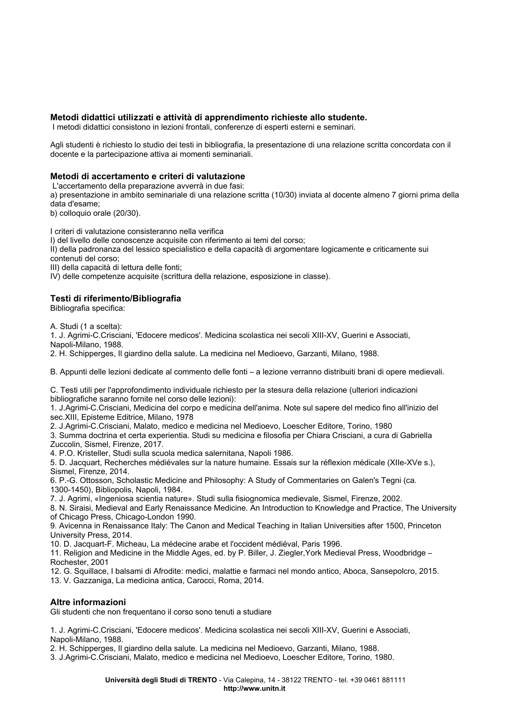## Metodi didattici utilizzati e attività di apprendimento richieste allo studente.

I metodi didattici consistono in lezioni frontali, conferenze di esperti esterni e seminari.

Agli studenti è richiesto lo studio dei testi in bibliografia, la presentazione di una relazione scritta concordata con il docente e la partecipazione attiva ai momenti seminariali.

## Metodi di accertamento e criteri di valutazione

L'accertamento della preparazione avverrà in due fasi:

a) presentazione in ambito seminariale di una relazione scritta (10/30) inviata al docente almeno 7 giorni prima della data d'esame:

b) colloquio orale (20/30).

I criteri di valutazione consisteranno nella verifica

I) del livello delle conoscenze acquisite con riferimento ai temi del corso;

II) della padronanza del lessico specialistico e della capacità di argomentare logicamente e criticamente sui contenuti del corso;

III) della capacità di lettura delle fonti;

IV) delle competenze acquisite (scrittura della relazione, esposizione in classe).

## Testi di riferimento/Bibliografia

Bibliografia specifica:

A. Studi (1 a scelta):

1. J. Agrimi-C.Crisciani, 'Edocere medicos'. Medicina scolastica nei secoli XIII-XV, Guerini e Associati, Napoli-Milano, 1988.

2. H. Schipperges, Il giardino della salute. La medicina nel Medioevo, Garzanti, Milano, 1988.

B. Appunti delle lezioni dedicate al commento delle fonti – a lezione verranno distribuiti brani di opere medievali.

C. Testi utili per l'approfondimento individuale richiesto per la stesura della relazione (ulteriori indicazioni bibliografiche saranno fornite nel corso delle lezioni):

1. J.Agrimi-C.Crisciani, Medicina del corpo e medicina dell'anima. Note sul sapere del medico fino all'inizio del sec. XIII, Episteme Editrice, Milano, 1978

2. J.Agrimi-C.Crisciani, Malato, medico e medicina nel Medioevo, Loescher Editore, Torino, 1980 3. Summa doctrina et certa experientia. Studi su medicina e filosofia per Chiara Crisciani, a cura di Gabriella Zuccolin, Sismel, Firenze, 2017.

4. P.O. Kristeller, Studi sulla scuola medica salernitana, Napoli 1986.

5. D. Jacquart, Recherches médiévales sur la nature humaine. Essais sur la réflexion médicale (XIIe-XVe s.), Sismel, Firenze, 2014.

6. P.-G. Ottosson, Scholastic Medicine and Philosophy: A Study of Commentaries on Galen's Tegni (ca. 1300-1450). Bibliopolis. Napoli. 1984.

7. J. Agrimi, «Ingeniosa scientia nature». Studi sulla fisiognomica medievale, Sismel, Firenze, 2002.

8. N. Siraisi, Medieval and Early Renaissance Medicine. An Introduction to Knowledge and Practice, The University of Chicago Press, Chicago-London 1990.

9. Avicenna in Renaissance Italy: The Canon and Medical Teaching in Italian Universities after 1500, Princeton University Press, 2014.

10. D. Jacquart-F. Micheau, La médecine arabe et l'occident médiéval, Paris 1996.

11. Religion and Medicine in the Middle Ages, ed. by P. Biller, J. Ziegler, York Medieval Press, Woodbridge -Rochester, 2001

12. G. Squillace, I balsami di Afrodite: medici, malattie e farmaci nel mondo antico, Aboca, Sansepolcro, 2015.

13. V. Gazzaniga, La medicina antica, Carocci, Roma, 2014.

## Altre informazioni

Gli studenti che non frequentano il corso sono tenuti a studiare

1. J. Agrimi-C.Crisciani, 'Edocere medicos'. Medicina scolastica nei secoli XIII-XV, Guerini e Associati, Napoli-Milano, 1988.

2. H. Schipperges, Il giardino della salute. La medicina nel Medioevo, Garzanti, Milano, 1988.

3. J.Agrimi-C.Crisciani, Malato, medico e medicina nel Medioevo, Loescher Editore, Torino, 1980.